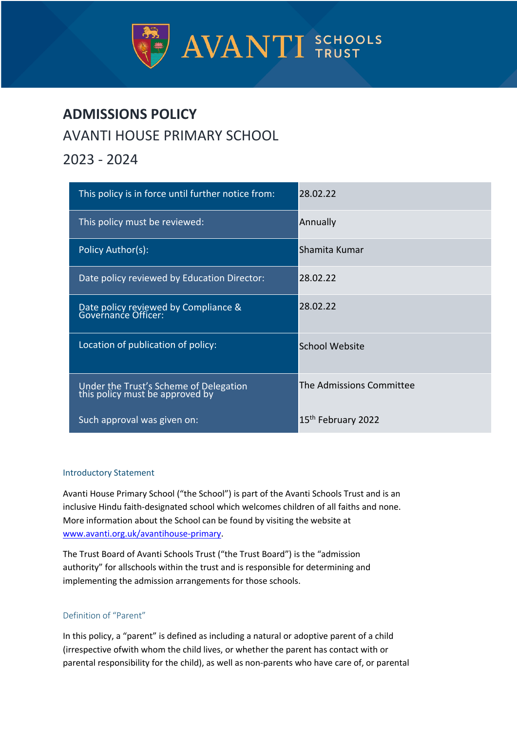

# **ADMISSIONS POLICY** AVANTI HOUSE PRIMARY SCHOOL

# 2023 - 2024

| This policy is in force until further notice from:                        | 28.02.22                       |
|---------------------------------------------------------------------------|--------------------------------|
| This policy must be reviewed:                                             | Annually                       |
| Policy Author(s):                                                         | Shamita Kumar                  |
| Date policy reviewed by Education Director:                               | 28.02.22                       |
| Date policy reviewed by Compliance &<br>Governance Officer:               | 28.02.22                       |
| Location of publication of policy:                                        | <b>School Website</b>          |
| Under the Trust's Scheme of Delegation<br>this policy must be approved by | The Admissions Committee       |
| Such approval was given on:                                               | 15 <sup>th</sup> February 2022 |

# Introductory Statement

Avanti House Primary School ("the School") is part of the Avanti Schools Trust and is an inclusive Hindu faith-designated school which welcomes children of all faiths and none. More information about the School can be found by visiting the website at www.avanti.org.uk/avantihouse-primary.

The Trust Board of Avanti Schools Trust ("the Trust Board") is the "admission authority" for allschools within the trust and is responsible for determining and implementing the admission arrangements for those schools.

# Definition of "Parent"

In this policy, a "parent" is defined as including a natural or adoptive parent of a child (irrespective ofwith whom the child lives, or whether the parent has contact with or parental responsibility for the child), as well as non-parents who have care of, or parental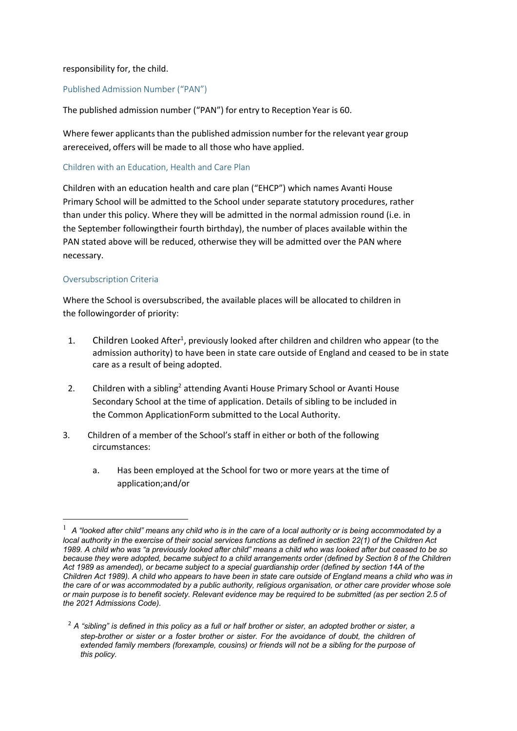# responsibility for, the child.

# Published Admission Number ("PAN")

The published admission number ("PAN") for entry to Reception Year is 60.

Where fewer applicants than the published admission number for the relevant year group arereceived, offers will be made to all those who have applied.

#### Children with an Education, Health and Care Plan

Children with an education health and care plan ("EHCP") which names Avanti House Primary School will be admitted to the School under separate statutory procedures, rather than under this policy. Where they will be admitted in the normal admission round (i.e. in the September followingtheir fourth birthday), the number of places available within the PAN stated above will be reduced, otherwise they will be admitted over the PAN where necessary.

# Oversubscription Criteria

Where the School is oversubscribed, the available places will be allocated to children in the followingorder of priority:

- 1. Children Looked After<sup>1</sup>, previously looked after children and children who appear (to the admission authority) to have been in state care outside of England and ceased to be in state care as a result of being adopted.
- 2. Children with a sibling<sup>2</sup> attending Avanti House Primary School or Avanti House Secondary School at the time of application. Details of sibling to be included in the Common ApplicationForm submitted to the Local Authority.
- 3. Children of a member of the School's staff in either or both of the following circumstances:
	- a. Has been employed at the School for two or more years at the time of application;and/or

 $1$  A "looked after child" means any child who is in the care of a local authority or is being accommodated by a local authority in the exercise of their social services functions as defined in section 22(1) of the Children Act 1989. A child who was "a previously looked after child" means a child who was looked after but ceased to be so because they were adopted, became subject to a child arrangements order (defined by Section 8 of the Children Act 1989 as amended), or became subject to a special quardianship order (defined by section 14A of the Children Act 1989). A child who appears to have been in state care outside of England means a child who was in the care of or was accommodated by a public authority, religious organisation, or other care provider whose sole or main purpose is to benefit society. Relevant evidence may be required to be submitted (as per section 2.5 of *the 2021 Admissions Code).*

<sup>2</sup> *A "sibling" is defined in this policy as a full or half brother or sister, an adopted brother or sister, a step-brother or sister or a foster brother or sister. For the avoidance of doubt, the children of extended family members (forexample, cousins) or friends will not be a sibling for the purpose of this policy.*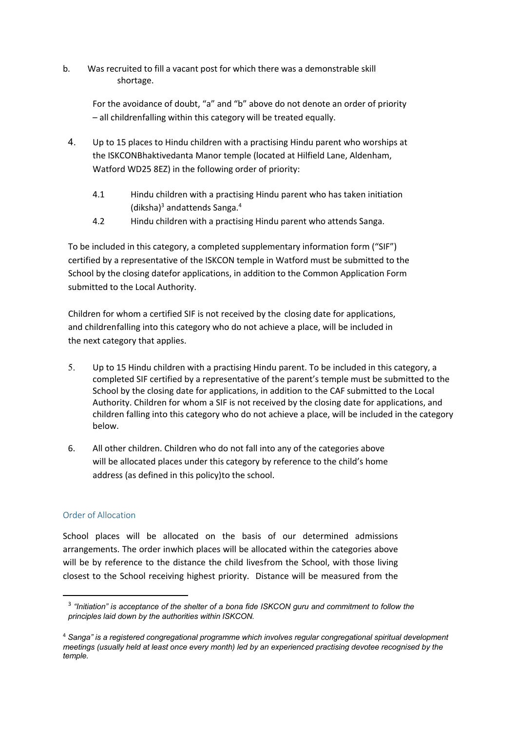b. Was recruited to fill a vacant post for which there was a demonstrable skill shortage.

For the avoidance of doubt, "a" and "b" above do not denote an order of priority – all childrenfalling within this category will be treated equally.

- 4. Up to 15 places to Hindu children with a practising Hindu parent who worships at the ISKCONBhaktivedanta Manor temple (located at Hilfield Lane, Aldenham, Watford WD25 8EZ) in the following order of priority:
	- 4.1 Hindu children with a practising Hindu parent who has taken initiation (diksha)<sup>3</sup> and attends Sanga.<sup>4</sup>
	- 4.2 Hindu children with a practising Hindu parent who attends Sanga.

To be included in this category, a completed supplementary information form ("SIF") certified by a representative of the ISKCON temple in Watford must be submitted to the School by the closing datefor applications, in addition to the Common Application Form submitted to the Local Authority.

Children for whom a certified SIF is not received by the closing date for applications, and children falling into this category who do not achieve a place, will be included in the next category that applies.

- 5. Up to 15 Hindu children with a practising Hindu parent. To be included in this category, a completed SIF certified by a representative of the parent's temple must be submitted to the School by the closing date for applications, in addition to the CAF submitted to the Local Authority. Children for whom a SIF is not received by the closing date for applications, and children falling into this category who do not achieve a place, will be included in the category below.
- 6. All other children. Children who do not fall into any of the categories above will be allocated places under this category by reference to the child's home address (as defined in this policy)to the school.

# Order of Allocation

School places will be allocated on the basis of our determined admissions arrangements. The order inwhich places will be allocated within the categories above will be by reference to the distance the child livesfrom the School, with those living closest to the School receiving highest priority. Distance will be measured from the

<sup>3</sup> *"Initiation" is acceptance of the shelter of a bona fide ISKCON guru and commitment to follow the principles laid down by the authorities within ISKCON.*

<sup>4</sup> *Sanga" is a registered congregational programme which involves regular congregational spiritual development meetings (usually held at least once every month) led by an experienced practising devotee recognised by the temple.*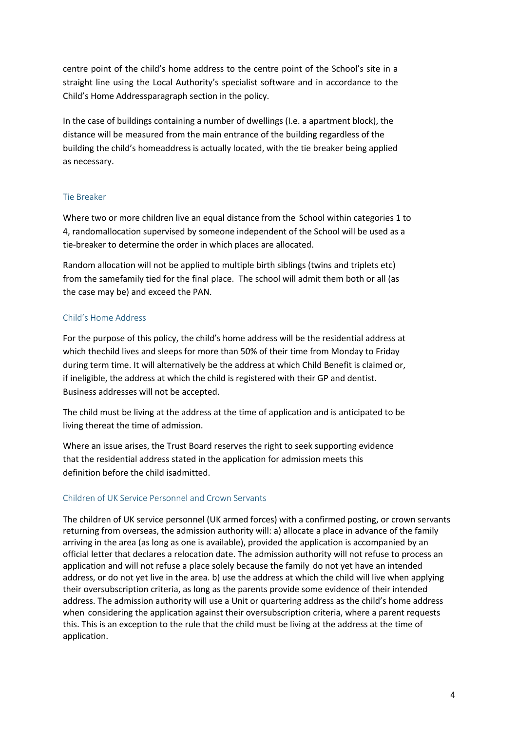centre point of the child's home address to the centre point of the School's site in a straight line using the Local Authority's specialist software and in accordance to the Child's Home Addressparagraph section in the policy.

In the case of buildings containing a number of dwellings (I.e. a apartment block), the distance will be measured from the main entrance of the building regardless of the building the child's homeaddress is actually located, with the tie breaker being applied as necessary.

# Tie Breaker

Where two or more children live an equal distance from the School within categories 1 to 4, randomallocation supervised by someone independent of the School will be used as a tie-breaker to determine the order in which places are allocated.

Random allocation will not be applied to multiple birth siblings (twins and triplets etc) from the samefamily tied for the final place. The school will admit them both or all (as the case may be) and exceed the PAN.

# Child's Home Address

For the purpose of this policy, the child's home address will be the residential address at which thechild lives and sleeps for more than 50% of their time from Monday to Friday during term time. It will alternatively be the address at which Child Benefit is claimed or, if ineligible, the address at which the child is registered with their GP and dentist. Business addresses will not be accepted.

The child must be living at the address at the time of application and is anticipated to be living thereat the time of admission.

Where an issue arises, the Trust Board reserves the right to seek supporting evidence that the residential address stated in the application for admission meets this definition before the child isadmitted.

# Children of UK Service Personnel and Crown Servants

The children of UK service personnel (UK armed forces) with a confirmed posting, or crown servants returning from overseas, the admission authority will: a) allocate a place in advance of the family arriving in the area (as long as one is available), provided the application is accompanied by an official letter that declares a relocation date. The admission authority will not refuse to process an application and will not refuse a place solely because the family do not yet have an intended address, or do not yet live in the area. b) use the address at which the child will live when applying their oversubscription criteria, as long as the parents provide some evidence of their intended address. The admission authority will use a Unit or quartering address as the child's home address when considering the application against their oversubscription criteria, where a parent requests this. This is an exception to the rule that the child must be living at the address at the time of application.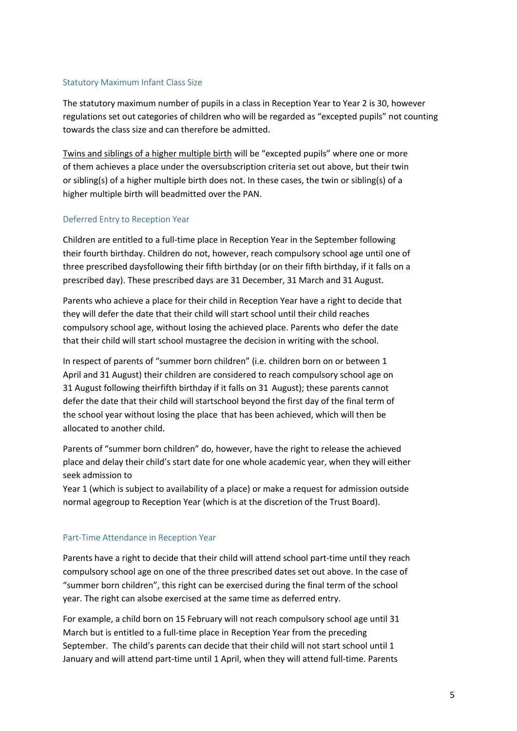# Statutory Maximum Infant Class Size

The statutory maximum number of pupils in a class in Reception Year to Year 2 is 30, however regulations set out categories of children who will be regarded as "excepted pupils" not counting towards the class size and can therefore be admitted.

Twins and siblings of a higher multiple birth will be "excepted pupils" where one or more of them achieves a place under the oversubscription criteria set out above, but their twin or sibling(s) of a higher multiple birth does not. In these cases, the twin or sibling(s) of a higher multiple birth will beadmitted over the PAN.

# Deferred Entry to Reception Year

Children are entitled to a full-time place in Reception Year in the September following their fourth birthday. Children do not, however, reach compulsory school age until one of three prescribed daysfollowing their fifth birthday (or on their fifth birthday, if it falls on a prescribed day). These prescribed days are 31 December, 31 March and 31 August.

Parents who achieve a place for their child in Reception Year have a right to decide that they will defer the date that their child will start school until their child reaches compulsory school age, without losing the achieved place. Parents who defer the date that their child will start school mustagree the decision in writing with the school.

In respect of parents of "summer born children" (i.e. children born on or between 1 April and 31 August) their children are considered to reach compulsory school age on 31 August following theirfifth birthday if it falls on 31 August); these parents cannot defer the date that their child will startschool beyond the first day of the final term of the school year without losing the place that has been achieved, which will then be allocated to another child.

Parents of "summer born children" do, however, have the right to release the achieved place and delay their child's start date for one whole academic year, when they will either seek admission to

Year 1 (which is subject to availability of a place) or make a request for admission outside normal agegroup to Reception Year (which is at the discretion of the Trust Board).

# Part-Time Attendance in Reception Year

Parents have a right to decide that their child will attend school part-time until they reach compulsory school age on one of the three prescribed dates set out above. In the case of "summer born children", this right can be exercised during the final term of the school year. The right can alsobe exercised at the same time as deferred entry.

For example, a child born on 15 February will not reach compulsory school age until 31 March but is entitled to a full-time place in Reception Year from the preceding September. The child's parents can decide that their child will not start school until 1 January and will attend part-time until 1 April, when they will attend full-time. Parents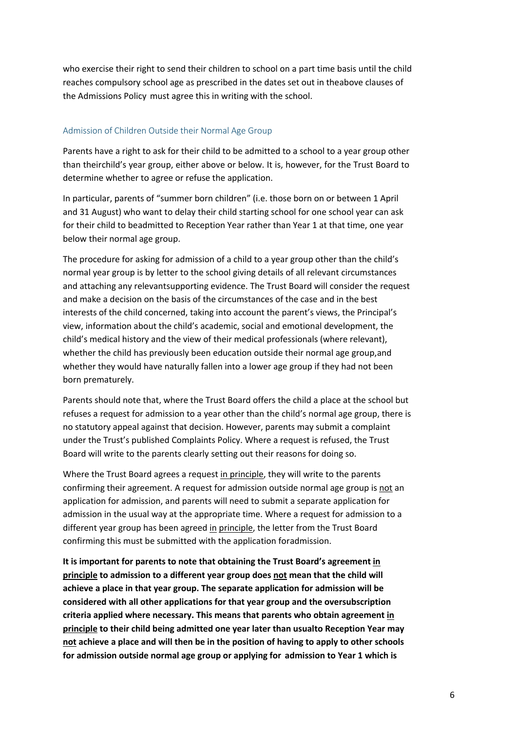who exercise their right to send their children to school on a part time basis until the child reaches compulsory school age as prescribed in the dates set out in theabove clauses of the Admissions Policy must agree this in writing with the school.

#### Admission of Children Outside their Normal Age Group

Parents have a right to ask for their child to be admitted to a school to a year group other than theirchild's year group, either above or below. It is, however, for the Trust Board to determine whether to agree or refuse the application.

In particular, parents of "summer born children" (i.e. those born on or between 1 April and 31 August) who want to delay their child starting school for one school year can ask for their child to beadmitted to Reception Year rather than Year 1 at that time, one year below their normal age group.

The procedure for asking for admission of a child to a year group other than the child's normal year group is by letter to the school giving details of all relevant circumstances and attaching any relevantsupporting evidence. The Trust Board will consider the request and make a decision on the basis of the circumstances of the case and in the best interests of the child concerned, taking into account the parent's views, the Principal's view, information about the child's academic, social and emotional development, the child's medical history and the view of their medical professionals (where relevant), whether the child has previously been education outside their normal age group,and whether they would have naturally fallen into a lower age group if they had not been born prematurely.

Parents should note that, where the Trust Board offers the child a place at the school but refuses a request for admission to a year other than the child's normal age group, there is no statutory appeal against that decision. However, parents may submit a complaint under the Trust's published Complaints Policy. Where a request is refused, the Trust Board will write to the parents clearly setting out their reasons for doing so.

Where the Trust Board agrees a request in principle, they will write to the parents confirming their agreement. A request for admission outside normal age group is not an application for admission, and parents will need to submit a separate application for admission in the usual way at the appropriate time. Where a request for admission to a different year group has been agreed in principle, the letter from the Trust Board confirming this must be submitted with the application foradmission.

**It is important for parents to note that obtaining the Trust Board's agreement in principle to admission to a different year group does not mean that the child will achieve a place in that year group. The separate application for admission will be considered with all other applications for that year group and the oversubscription criteria applied where necessary. This means that parents who obtain agreement in principle to their child being admitted one year later than usualto Reception Year may not achieve a place and will then be in the position of having to apply to other schools for admission outside normal age group or applying for admission to Year 1 which is**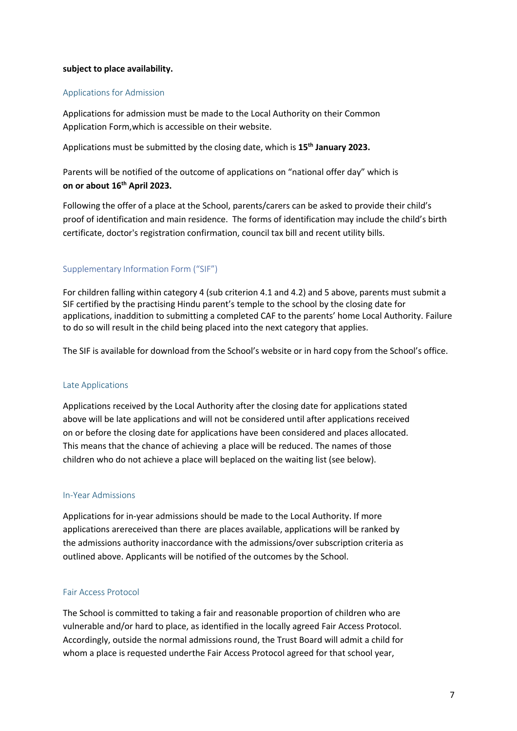# **subject to place availability.**

#### Applications for Admission

Applications for admission must be made to the Local Authority on their Common Application Form,which is accessible on their website.

Applications must be submitted by the closing date, which is **15th January 2023.**

Parents will be notified of the outcome of applications on "national offer day" which is **on or about 16th April 2023.**

Following the offer of a place at the School, parents/carers can be asked to provide their child's proof of identification and main residence. The forms of identification may include the child's birth certificate, doctor's registration confirmation, council tax bill and recent utility bills.

# Supplementary Information Form ("SIF")

For children falling within category 4 (sub criterion 4.1 and 4.2) and 5 above, parents must submit a SIF certified by the practising Hindu parent's temple to the school by the closing date for applications, inaddition to submitting a completed CAF to the parents' home Local Authority. Failure to do so will result in the child being placed into the next category that applies.

The SIF is available for download from the School's website or in hard copy from the School's office.

#### Late Applications

Applications received by the Local Authority after the closing date for applications stated above will be late applications and will not be considered until after applications received on or before the closing date for applications have been considered and places allocated. This means that the chance of achieving a place will be reduced. The names of those children who do not achieve a place will beplaced on the waiting list (see below).

#### In-Year Admissions

Applications for in-year admissions should be made to the Local Authority. If more applications arereceived than there are places available, applications will be ranked by the admissions authority inaccordance with the admissions/over subscription criteria as outlined above. Applicants will be notified of the outcomes by the School.

#### Fair Access Protocol

The School is committed to taking a fair and reasonable proportion of children who are vulnerable and/or hard to place, as identified in the locally agreed Fair Access Protocol. Accordingly, outside the normal admissions round, the Trust Board will admit a child for whom a place is requested underthe Fair Access Protocol agreed for that school year,